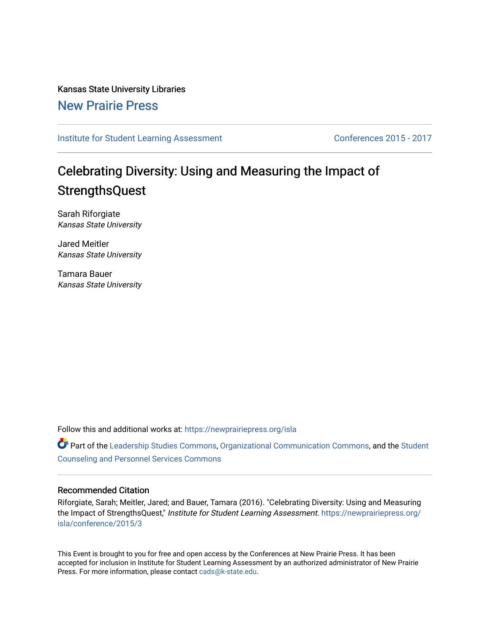Kansas State University Libraries [New Prairie Press](https://newprairiepress.org/) 

[Institute for Student Learning Assessment](https://newprairiepress.org/isla) Conferences 2015 - 2017

## Celebrating Diversity: Using and Measuring the Impact of **StrengthsQuest**

Sarah Riforgiate Kansas State University

Jared Meitler Kansas State University

Tamara Bauer Kansas State University

Follow this and additional works at: [https://newprairiepress.org/isla](https://newprairiepress.org/isla?utm_source=newprairiepress.org%2Fisla%2Fconference%2F2015%2F3&utm_medium=PDF&utm_campaign=PDFCoverPages) 

Part of the [Leadership Studies Commons,](http://network.bepress.com/hgg/discipline/1250?utm_source=newprairiepress.org%2Fisla%2Fconference%2F2015%2F3&utm_medium=PDF&utm_campaign=PDFCoverPages) [Organizational Communication Commons](http://network.bepress.com/hgg/discipline/335?utm_source=newprairiepress.org%2Fisla%2Fconference%2F2015%2F3&utm_medium=PDF&utm_campaign=PDFCoverPages), and the [Student](http://network.bepress.com/hgg/discipline/802?utm_source=newprairiepress.org%2Fisla%2Fconference%2F2015%2F3&utm_medium=PDF&utm_campaign=PDFCoverPages)  [Counseling and Personnel Services Commons](http://network.bepress.com/hgg/discipline/802?utm_source=newprairiepress.org%2Fisla%2Fconference%2F2015%2F3&utm_medium=PDF&utm_campaign=PDFCoverPages) 

## Recommended Citation

Riforgiate, Sarah; Meitler, Jared; and Bauer, Tamara (2016). "Celebrating Diversity: Using and Measuring the Impact of StrengthsQuest," Institute for Student Learning Assessment. [https://newprairiepress.org/](https://newprairiepress.org/isla/conference/2015/3) [isla/conference/2015/3](https://newprairiepress.org/isla/conference/2015/3) 

This Event is brought to you for free and open access by the Conferences at New Prairie Press. It has been accepted for inclusion in Institute for Student Learning Assessment by an authorized administrator of New Prairie Press. For more information, please contact [cads@k-state.edu.](mailto:cads@k-state.edu)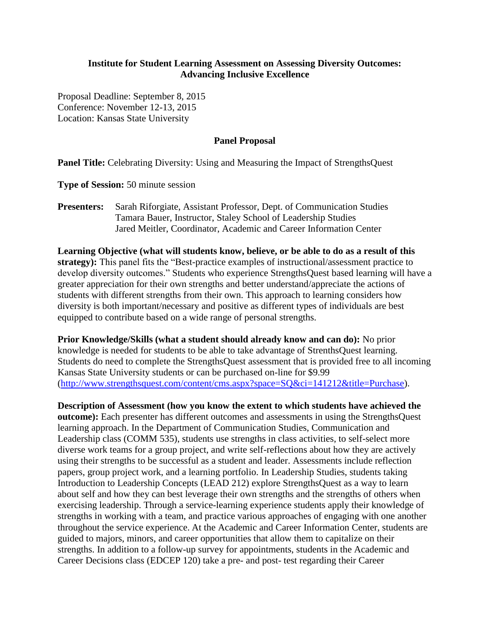## **Institute for Student Learning Assessment on Assessing Diversity Outcomes: Advancing Inclusive Excellence**

Proposal Deadline: September 8, 2015 Conference: November 12-13, 2015 Location: Kansas State University

## **Panel Proposal**

Panel Title: Celebrating Diversity: Using and Measuring the Impact of StrengthsQuest

**Type of Session:** 50 minute session

**Presenters:** Sarah Riforgiate, Assistant Professor, Dept. of Communication Studies Tamara Bauer, Instructor, Staley School of Leadership Studies Jared Meitler, Coordinator, Academic and Career Information Center

**Learning Objective (what will students know, believe, or be able to do as a result of this strategy):** This panel fits the "Best-practice examples of instructional/assessment practice to develop diversity outcomes." Students who experience StrengthsQuest based learning will have a greater appreciation for their own strengths and better understand/appreciate the actions of students with different strengths from their own. This approach to learning considers how diversity is both important/necessary and positive as different types of individuals are best equipped to contribute based on a wide range of personal strengths.

**Prior Knowledge/Skills (what a student should already know and can do):** No prior knowledge is needed for students to be able to take advantage of StrenthsQuest learning. Students do need to complete the StrengthsQuest assessment that is provided free to all incoming Kansas State University students or can be purchased on-line for \$9.99 [\(http://www.strengthsquest.com/content/cms.aspx?space=SQ&ci=141212&title=Purchase\)](http://www.strengthsquest.com/content/cms.aspx?space=SQ&ci=141212&title=Purchase).

**Description of Assessment (how you know the extent to which students have achieved the outcome):** Each presenter has different outcomes and assessments in using the StrengthsQuest learning approach. In the Department of Communication Studies, Communication and Leadership class (COMM 535), students use strengths in class activities, to self-select more diverse work teams for a group project, and write self-reflections about how they are actively using their strengths to be successful as a student and leader. Assessments include reflection papers, group project work, and a learning portfolio. In Leadership Studies, students taking Introduction to Leadership Concepts (LEAD 212) explore StrengthsQuest as a way to learn about self and how they can best leverage their own strengths and the strengths of others when exercising leadership. Through a service-learning experience students apply their knowledge of strengths in working with a team, and practice various approaches of engaging with one another throughout the service experience. At the Academic and Career Information Center, students are guided to majors, minors, and career opportunities that allow them to capitalize on their strengths. In addition to a follow-up survey for appointments, students in the Academic and Career Decisions class (EDCEP 120) take a pre- and post- test regarding their Career